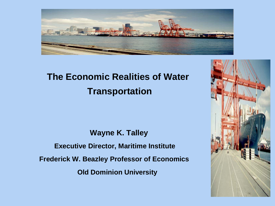

## **The Economic Realities of Water Transportation**

**Wayne K. Talley Executive Director, Maritime Institute Frederick W. Beazley Professor of Economics Old Dominion University**

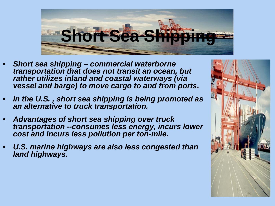

- *Short sea shipping – commercial waterborne transportation that does not transit an ocean, but rather utilizes inland and coastal waterways (via vessel and barge) to move cargo to and from ports.*
- *In the U.S. , short sea shipping is being promoted as an alternative to truck transportation.*
- *Advantages of short sea shipping over truck transportation --consumes less energy, incurs lower cost and incurs less pollution per ton-mile.*
- *U.S. marine highways are also less congested than land highways.*

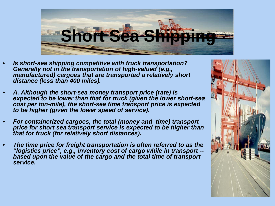

- *Is short-sea shipping competitive with truck transportation? Generally not in the transportation of high-valued (e.g., manufactured) cargoes that are transported a relatively short distance (less than 400 miles).*
- *A. Although the short-sea money transport price (rate) is expected to be lower than that for truck (given the lower short-sea cost per ton-mile), the short-sea time transport price is expected to be higher (given the lower speed of service).*
- *For containerized cargoes, the total (money and time) transport price for short sea transport service is expected to be higher than that for truck (for relatively short distances).*
- *The time price for freight transportation is often referred to as the*  based upon the value of the cargo and the total time of transport *service.*

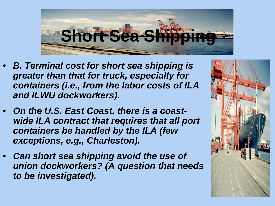

- *B. Terminal cost for short sea shipping is greater than that for truck, especially for containers (i.e., from the labor costs of ILA and ILWU dockworkers).*
- *On the U.S. East Coast, there is a coastwide ILA contract that requires that all port containers be handled by the ILA (few exceptions, e.g., Charleston).*
- *Can short sea shipping avoid the use of union dockworkers? (A question that needs to be investigated).*

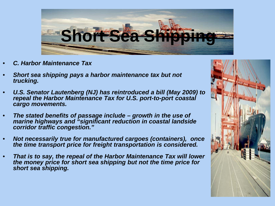

- *C. Harbor Maintenance Tax*
- *Short sea shipping pays a harbor maintenance tax but not trucking.*
- *U.S. Senator Lautenberg (NJ) has reintroduced a bill (May 2009) to repeal the Harbor Maintenance Tax for U.S. port-to-port coastal cargo movements.*
- *The stated benefits of passage include – growth in the use of marine highways and "significant reduction in coastal landside corridor traffic congestion."*
- *Not necessarily true for manufactured cargoes (containers), once the time transport price for freight transportation is considered.*
- *That is to say, the repeal of the Harbor Maintenance Tax will lower the money price for short sea shipping but not the time price for short sea shipping.*

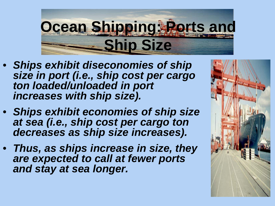

- *Ships exhibit diseconomies of ship size in port (i.e., ship cost per cargo ton loaded/unloaded in port increases with ship size).*
- *Ships exhibit economies of ship size at sea (i.e., ship cost per cargo ton decreases as ship size increases).*
- *Thus, as ships increase in size, they are expected to call at fewer ports and stay at sea longer.*

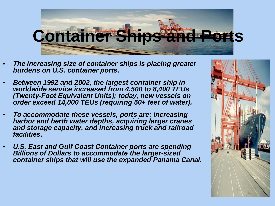

- *The increasing size of container ships is placing greater burdens on U.S. container ports.*
- *Between 1992 and 2002, the largest container ship in worldwide service increased from 4,500 to 8,400 TEUs (Twenty-Foot Equivalent Units); today, new vessels on order exceed 14,000 TEUs (requiring 50+ feet of water).*
- *To accommodate these vessels, ports are: increasing harbor and berth water depths, acquiring larger cranes and storage capacity, and increasing truck and railroad facilities.*
- *U.S. East and Gulf Coast Container ports are spending Billions of Dollars to accommodate the larger-sized container ships that will use the expanded Panama Canal.*

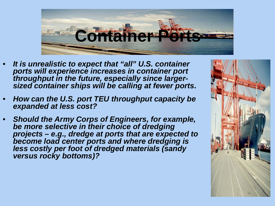

- *It is unrealistic to expect that "all" U.S. container ports will experience increases in container port throughput in the future, especially since larger- sized container ships will be calling at fewer ports.*
- *How can the U.S. port TEU throughput capacity be expanded at less cost?*
- *Should the Army Corps of Engineers, for example, be more selective in their choice of dredging projects – e.g., dredge at ports that are expected to become load center ports and where dredging is less costly per foot of dredged materials (sandy versus rocky bottoms)?*

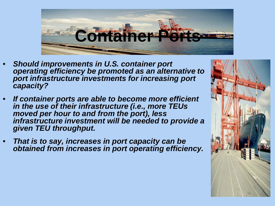

- *Should improvements in U.S. container port operating efficiency be promoted as an alternative to port infrastructure investments for increasing port capacity?*
- *If container ports are able to become more efficient in the use of their infrastructure (i.e., more TEUs moved per hour to and from the port), less infrastructure investment will be needed to provide a given TEU throughput.*
- *That is to say, increases in port capacity can be obtained from increases in port operating efficiency.*

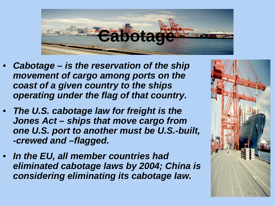

- *Cabotage – is the reservation of the ship movement of cargo among ports on the coast of a given country to the ships operating under the flag of that country.*
- *The U.S. cabotage law for freight is the Jones Act – ships that move cargo from one U.S. port to another must be U.S.-built, -crewed and –flagged.*
- *In the EU, all member countries had eliminated cabotage laws by 2004; China is considering eliminating its cabotage law.*

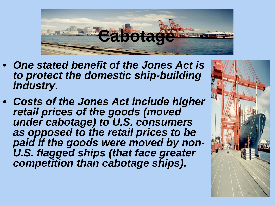

- *One stated benefit of the Jones Act is to protect the domestic ship-building industry.*
- *Costs of the Jones Act include higher retail prices of the goods (moved under cabotage) to U.S. consumers as opposed to the retail prices to be U.S. flagged ships (that face greater and Face greater in -*  $\frac{1}{2}$  *U.S. flagged ships (that face greater and Face greater and Face greater and Face greater and Face greater and Face greater and Face greater and Face g competition than cabotage ships).*

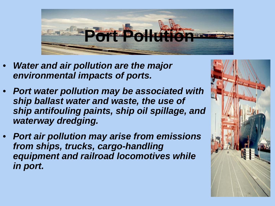

- *Water and air pollution are the major environmental impacts of ports.*
- *Port water pollution may be associated with ship ballast water and waste, the use of ship antifouling paints, ship oil spillage, and waterway dredging.*
- *Port air pollution may arise from emissions from ships, trucks, cargo-handling equipment and railroad locomotives while in port.*

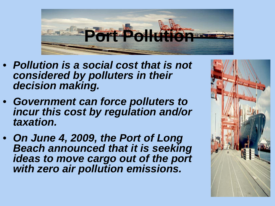

- *Pollution is a social cost that is not considered by polluters in their decision making.*
- *Government can force polluters to incur this cost by regulation and/or taxation.*
- *On June 4, 2009, the Port of Long Beach announced that it is seeking ideas to move cargo out of the port with zero air pollution emissions.*

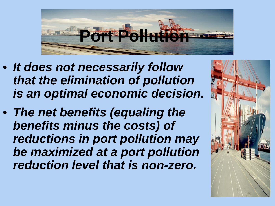

- *It does not necessarily follow that the elimination of pollution is an optimal economic decision.*
- *The net benefits (equaling the benefits minus the costs) of reductions in port pollution may be maximized at a port pollution reduction level that is non-zero.*